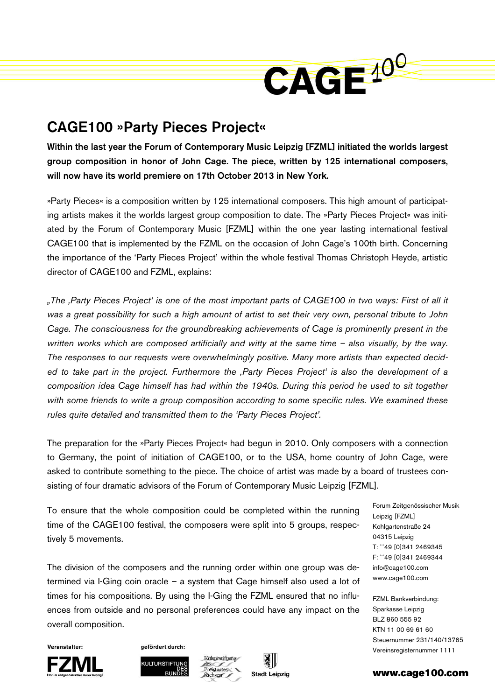

## CAGE100 »Party Pieces Project«

Within the last year the Forum of Contemporary Music Leipzig [FZML] initiated the worlds largest group composition in honor of John Cage. The piece, written by 125 international composers, will now have its world premiere on 17th October 2013 in New York.

»Party Pieces« is a composition written by 125 international composers. This high amount of participating artists makes it the worlds largest group composition to date. The »Party Pieces Project« was initiated by the Forum of Contemporary Music [FZML] within the one year lasting international festival CAGE100 that is implemented by the FZML on the occasion of John Cage's 100th birth. Concerning the importance of the 'Party Pieces Project' within the whole festival Thomas Christoph Heyde, artistic director of CAGE100 and FZML, explains:

*"The 'Party Pieces Project' is one of the most important parts of CAGE100 in two ways: First of all it was a great possibility for such a high amount of artist to set their very own, personal tribute to John Cage. The consciousness for the groundbreaking achievements of Cage is prominently present in the written works which are composed artificially and witty at the same time – also visually, by the way. The responses to our requests were overwhelmingly positive. Many more artists than expected decided to take part in the project. Furthermore the 'Party Pieces Project' is also the development of a composition idea Cage himself has had within the 1940s. During this period he used to sit together*  with some friends to write a group composition according to some specific rules. We examined these *rules quite detailed and transmitted them to the 'Party Pieces Project'.* 

The preparation for the »Party Pieces Project« had begun in 2010. Only composers with a connection to Germany, the point of initiation of CAGE100, or to the USA, home country of John Cage, were asked to contribute something to the piece. The choice of artist was made by a board of trustees consisting of four dramatic advisors of the Forum of Contemporary Music Leipzig [FZML].

To ensure that the whole composition could be completed within the running time of the CAGE100 festival, the composers were split into 5 groups, respectively 5 movements.

The division of the composers and the running order within one group was determined via I-Ging coin oracle – a system that Cage himself also used a lot of times for his compositions. By using the I-Ging the FZML ensured that no influences from outside and no personal preferences could have any impact on the overall composition.

Forum Zeitgenössischer Musik Leipzig [FZML] Kohlgartenstraße 24 04315 Leipzig T: ++49 [0]341 2469345 F: ++49 [0]341 2469344 info@cage100.com www.cage100.com

FZML Bankverbindung: Sparkasse Leipzig BLZ 860 555 92 KTN 11 00 69 61 60 Steuernummer 231/140/13765 Vereinsregisternummer 1111



Veranstalter:



gefördert durch:





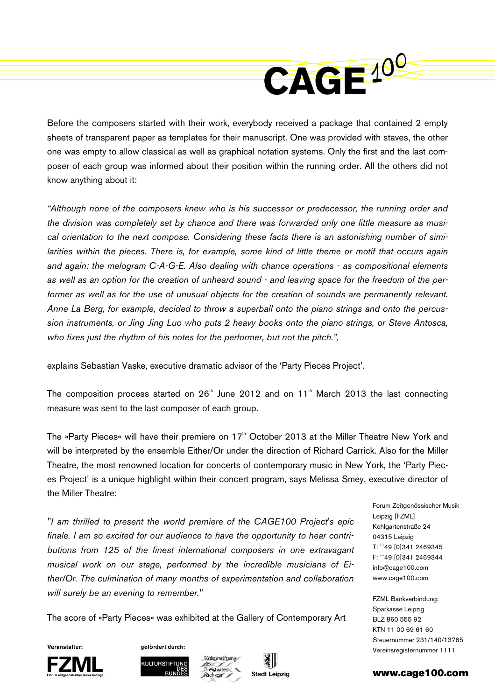

Before the composers started with their work, everybody received a package that contained 2 empty sheets of transparent paper as templates for their manuscript. One was provided with staves, the other one was empty to allow classical as well as graphical notation systems. Only the first and the last composer of each group was informed about their position within the running order. All the others did not know anything about it:

*"Although none of the composers knew who is his successor or predecessor, the running order and the division was completely set by chance and there was forwarded only one little measure as musical orientation to the next compose. Considering these facts there is an astonishing number of similarities within the pieces. There is, for example, some kind of little theme or motif that occurs again and again: the melogram C-A-G-E. Also dealing with chance operations - as compositional elements as well as an option for the creation of unheard sound - and leaving space for the freedom of the performer as well as for the use of unusual objects for the creation of sounds are permanently relevant. Anne La Berg, for example, decided to throw a superball onto the piano strings and onto the percussion instruments, or Jing Jing Luo who puts 2 heavy books onto the piano strings, or Steve Antosca, who fixes just the rhythm of his notes for the performer, but not the pitch.",* 

explains Sebastian Vaske, executive dramatic advisor of the 'Party Pieces Project'.

The composition process started on  $26<sup>th</sup>$  June 2012 and on 11<sup>th</sup> March 2013 the last connecting measure was sent to the last composer of each group.

The »Party Pieces« will have their premiere on 17<sup>th</sup> October 2013 at the Miller Theatre New York and will be interpreted by the ensemble Either/Or under the direction of Richard Carrick. Also for the Miller Theatre, the most renowned location for concerts of contemporary music in New York, the 'Party Pieces Project' is a unique highlight within their concert program, says Melissa Smey, executive director of the Miller Theatre:

*"I am thrilled to present the world premiere of the CAGE100 Project's epic finale. I am so excited for our audience to have the opportunity to hear contributions from 125 of the finest international composers in one extravagant musical work on our stage, performed by the incredible musicians of Either/Or. The culmination of many months of experimentation and collaboration will surely be an evening to remember."* 

Forum Zeitgenössischer Musik Leipzig [FZML] Kohlgartenstraße 24 04315 Leipzig T: ++49 [0]341 2469345 F: ++49 [0]341 2469344 info@cage100.com www.cage100.com

FZML Bankverbindung: Sparkasse Leipzig BLZ 860 555 92 KTN 11 00 69 61 60 Steuernummer 231/140/13765 Vereinsregisternummer 1111

The score of »Party Pieces« was exhibited at the Gallery of Contemporary Art

Veranstalter





gefördert durch: